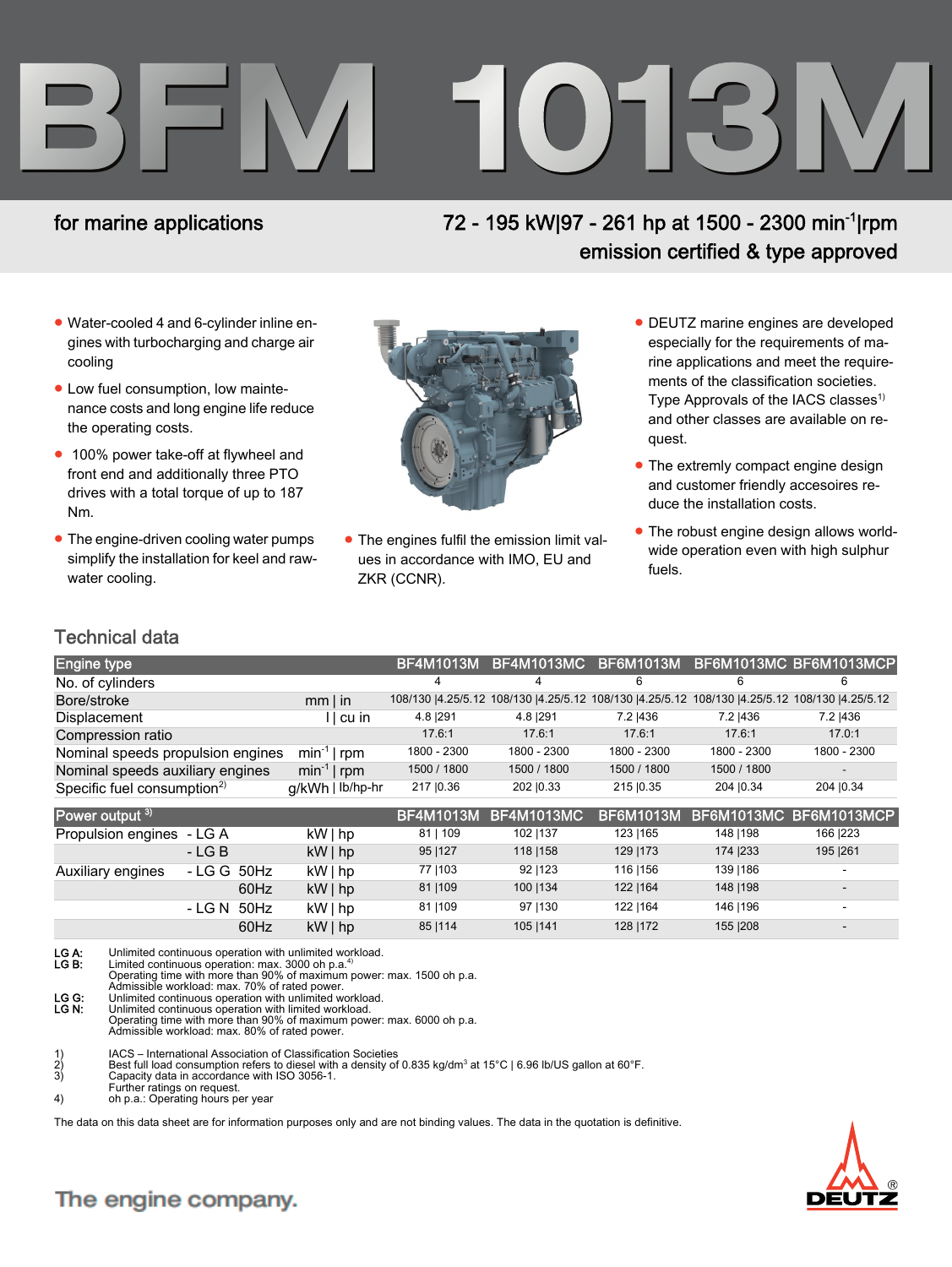# **BFM 1013M**

### for marine applications

## 72 - 195 kW|97 - 261 hp at 1500 - 2300 min<sup>-1</sup>|rpm emission certified & type approved

- Water-cooled 4 and 6-cylinder inline engines with turbocharging and charge air cooling
- Low fuel consumption, low maintenance costs and long engine life reduce the operating costs.
- 100% power take-off at flywheel and front end and additionally three PTO drives with a total torque of up to 187 Nm.
- The engine-driven cooling water pumps simplify the installation for keel and rawwater cooling.



- The engines fulfil the emission limit values in accordance with IMO, EU and ZKR (CCNR).
- DEUTZ marine engines are developed especially for the requirements of marine applications and meet the requirements of the classification societies. Type Approvals of the IACS classes<sup>1)</sup> and other classes are available on request.
- The extremly compact engine design and customer friendly accesoires reduce the installation costs.
- The robust engine design allows worldwide operation even with high sulphur fuels.

#### Technical data

| <b>Engine type</b>                      |                  | <b>BF4M1013M</b> | BF4M1013MC                                               | <b>BF6M1013M</b> |             | BF6M1013MC BF6M1013MCP                |
|-----------------------------------------|------------------|------------------|----------------------------------------------------------|------------------|-------------|---------------------------------------|
| No. of cylinders                        |                  | 4                | 4                                                        | 6                | 6           | 6                                     |
| Bore/stroke                             | $mm$   in        |                  | 108/130  4.25/5.12 108/130  4.25/5.12 108/130  4.25/5.12 |                  |             | 108/130  4.25/5.12 108/130  4.25/5.12 |
| Displacement                            | l   cu in        | 4.8   291        | 4.8 291                                                  | 7.2   436        | 7.2   436   | 7.2   436                             |
| Compression ratio                       |                  | 17.6:1           | 17.6:1                                                   | 17.6:1           | 17.6:1      | 17.0:1                                |
| Nominal speeds propulsion engines       | $min^{-1}$   rpm | 1800 - 2300      | 1800 - 2300                                              | 1800 - 2300      | 1800 - 2300 | 1800 - 2300                           |
| Nominal speeds auxiliary engines        | $min^{-1}$   rpm | 1500 / 1800      | 1500 / 1800                                              | 1500 / 1800      | 1500 / 1800 |                                       |
| Specific fuel consumption <sup>2)</sup> | g/kWh   lb/hp-hr | 217   0.36       | 202   0.33                                               | 215   0.35       | 204   0.34  | 204   0.34                            |
| Power output 3)                         |                  | <b>BF4M1013M</b> | <b>BF4M1013MC</b>                                        | <b>BF6M1013M</b> |             | BF6M1013MC BF6M1013MCP                |
| Propulsion engines<br>- LG A            | $kW $ hp         | 81   109         | 102   137                                                | 123   165        | 148   198   | 166   223                             |
| $-LG$ B                                 | $kW $ hp         | 95   127         | 118   158                                                | 129   173        | 174   233   | 195   261                             |
| - LG G<br>50Hz<br>Auxiliary engines     | kW   hp          | 77   103         | 92   123                                                 | 116   156        | 139   186   |                                       |
| 60Hz                                    | $kW $ hp         | 81   109         | 100   134                                                | 122   164        | 148   198   |                                       |
|                                         |                  |                  |                                                          |                  |             |                                       |
| 50Hz<br>- LG N                          | kW   hp          | 81   109         | 97   130                                                 | 122   164        | 146   196   |                                       |
| 60Hz                                    | $kW $ hp         | 85   114         | 105   141                                                | 128   172        | 155   208   |                                       |

- LG A: Unlimited continuous operation with unlimited workload.<br>LG B: Limited continuous operation: max. 3000 oh p.a.<sup>4)</sup><br>Operating time with more than 90% of maximum power: max. 1500 oh p.a.<br>Admissible workload: max. 70% of
- LG G: Unlimited continuous operation with unlimited workload.<br>LG N: Unlimited continuous operation with limited workload. Unlimited continuous operation with limited workload.
- Operating time with more than 90% of maximum power: max. 6000 oh p.a. Admissible workload: max. 80% of rated power.
- 
- 1) IACS International Association of Classification Societies<br>
2) Best full load consumption refers to diesel with a density of<br>
3) Capacity data in accordance with ISO 3056-1. 2) Best full load consumption refers to diesel with a density of 0.835 kg/dm<sup>3</sup> at 15°C | 6.96 lb/US gallon at 60°F.<br>3) Capacity data in accordance with ISO 3056-1.
- 
- Further ratings on request. 4) oh p.a.: Operating hours per year
- 

The data on this data sheet are for information purposes only and are not binding values. The data in the quotation is definitive.